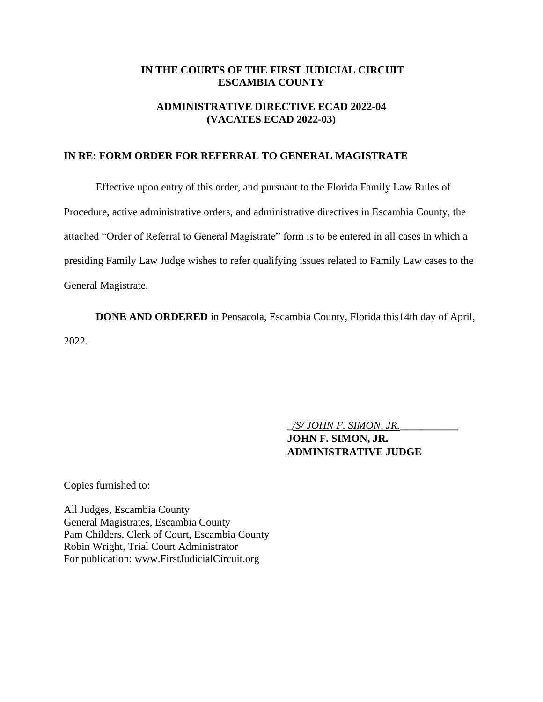#### **IN THE COURTS OF THE FIRST JUDICIAL CIRCUIT ESCAMBIA COUNTY**

## **ADMINISTRATIVE DIRECTIVE ECAD 2022-04 (VACATES ECAD 2022-03)**

#### **IN RE: FORM ORDER FOR REFERRAL TO GENERAL MAGISTRATE**

Effective upon entry of this order, and pursuant to the Florida Family Law Rules of Procedure, active administrative orders, and administrative directives in Escambia County, the attached "Order of Referral to General Magistrate" form is to be entered in all cases in which a presiding Family Law Judge wishes to refer qualifying issues related to Family Law cases to the General Magistrate.

**DONE AND ORDERED** in Pensacola, Escambia County, Florida this 14th day of April, 2022.

**\_***/S/ JOHN F. SIMON, JR.***\_\_\_\_\_\_\_\_\_\_\_**

**JOHN F. SIMON, JR. ADMINISTRATIVE JUDGE**

Copies furnished to:

All Judges, Escambia County General Magistrates, Escambia County Pam Childers, Clerk of Court, Escambia County Robin Wright, Trial Court Administrator For publication: www.FirstJudicialCircuit.org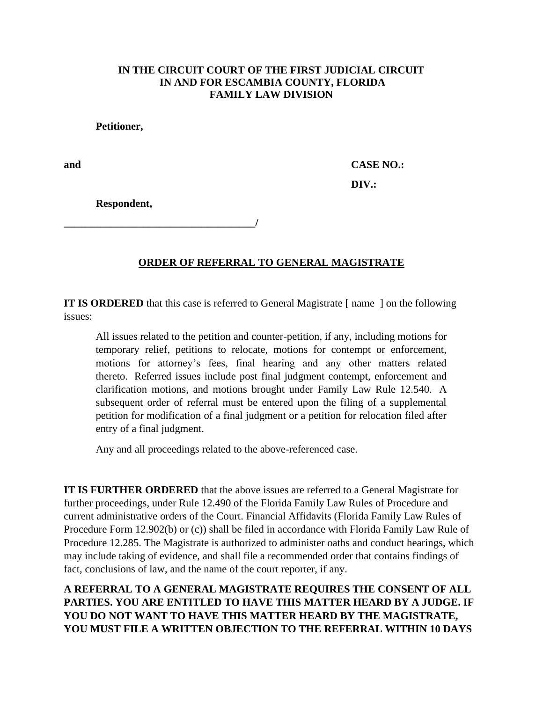### **IN THE CIRCUIT COURT OF THE FIRST JUDICIAL CIRCUIT IN AND FOR ESCAMBIA COUNTY, FLORIDA FAMILY LAW DIVISION**

**Petitioner,**

**and CASE NO.: DIV.:** 

**Respondent,**

**\_\_\_\_\_\_\_\_\_\_\_\_\_\_\_\_\_\_\_\_\_\_\_\_\_\_\_\_\_\_\_\_\_\_\_\_/**

# **ORDER OF REFERRAL TO GENERAL MAGISTRATE**

**IT IS ORDERED** that this case is referred to General Magistrate [ name ] on the following issues:

All issues related to the petition and counter-petition, if any, including motions for temporary relief, petitions to relocate, motions for contempt or enforcement, motions for attorney's fees, final hearing and any other matters related thereto. Referred issues include post final judgment contempt, enforcement and clarification motions, and motions brought under Family Law Rule 12.540. A subsequent order of referral must be entered upon the filing of a supplemental petition for modification of a final judgment or a petition for relocation filed after entry of a final judgment.

Any and all proceedings related to the above-referenced case.

**IT IS FURTHER ORDERED** that the above issues are referred to a General Magistrate for further proceedings, under Rule 12.490 of the Florida Family Law Rules of Procedure and current administrative orders of the Court. Financial Affidavits (Florida Family Law Rules of Procedure Form 12.902(b) or (c)) shall be filed in accordance with Florida Family Law Rule of Procedure 12.285. The Magistrate is authorized to administer oaths and conduct hearings, which may include taking of evidence, and shall file a recommended order that contains findings of fact, conclusions of law, and the name of the court reporter, if any.

**A REFERRAL TO A GENERAL MAGISTRATE REQUIRES THE CONSENT OF ALL PARTIES. YOU ARE ENTITLED TO HAVE THIS MATTER HEARD BY A JUDGE. IF YOU DO NOT WANT TO HAVE THIS MATTER HEARD BY THE MAGISTRATE, YOU MUST FILE A WRITTEN OBJECTION TO THE REFERRAL WITHIN 10 DAYS**